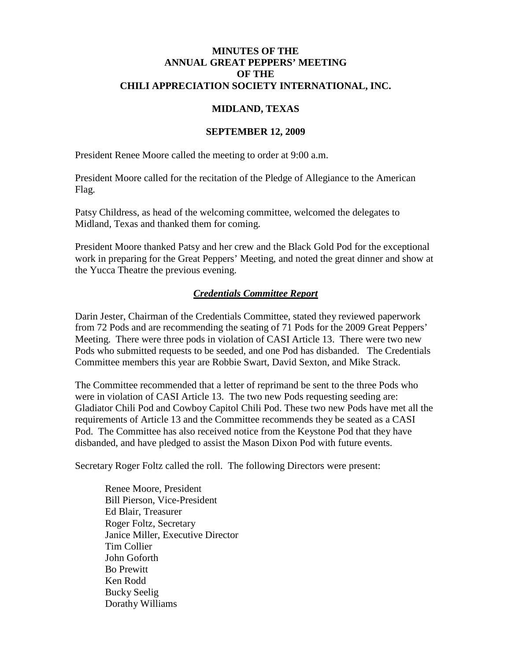### **MINUTES OF THE ANNUAL GREAT PEPPERS' MEETING OF THE CHILI APPRECIATION SOCIETY INTERNATIONAL, INC.**

## **MIDLAND, TEXAS**

#### **SEPTEMBER 12, 2009**

President Renee Moore called the meeting to order at 9:00 a.m.

President Moore called for the recitation of the Pledge of Allegiance to the American Flag.

Patsy Childress, as head of the welcoming committee, welcomed the delegates to Midland, Texas and thanked them for coming.

President Moore thanked Patsy and her crew and the Black Gold Pod for the exceptional work in preparing for the Great Peppers' Meeting, and noted the great dinner and show at the Yucca Theatre the previous evening.

## *Credentials Committee Report*

Darin Jester, Chairman of the Credentials Committee, stated they reviewed paperwork from 72 Pods and are recommending the seating of 71 Pods for the 2009 Great Peppers' Meeting. There were three pods in violation of CASI Article 13. There were two new Pods who submitted requests to be seeded, and one Pod has disbanded. The Credentials Committee members this year are Robbie Swart, David Sexton, and Mike Strack.

The Committee recommended that a letter of reprimand be sent to the three Pods who were in violation of CASI Article 13. The two new Pods requesting seeding are: Gladiator Chili Pod and Cowboy Capitol Chili Pod. These two new Pods have met all the requirements of Article 13 and the Committee recommends they be seated as a CASI Pod. The Committee has also received notice from the Keystone Pod that they have disbanded, and have pledged to assist the Mason Dixon Pod with future events.

Secretary Roger Foltz called the roll. The following Directors were present:

Renee Moore, President Bill Pierson, Vice-President Ed Blair, Treasurer Roger Foltz, Secretary Janice Miller, Executive Director Tim Collier John Goforth Bo Prewitt Ken Rodd Bucky Seelig Dorathy Williams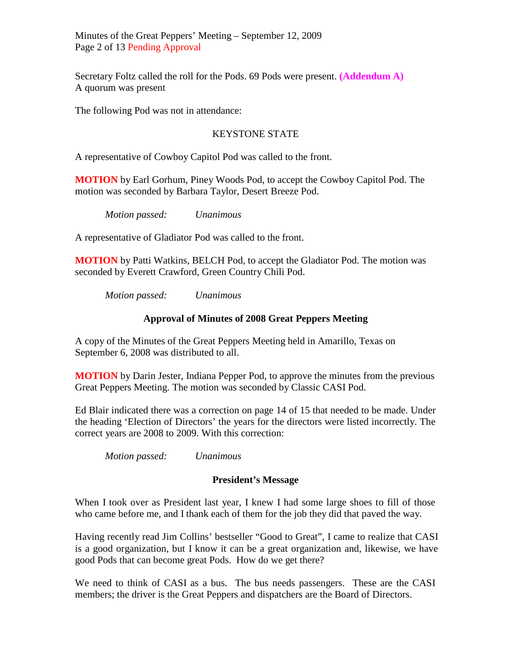Minutes of the Great Peppers' Meeting – September 12, 2009 Page 2 of 13 Pending Approval

Secretary Foltz called the roll for the Pods. 69 Pods were present. **(Addendum A)** A quorum was present

The following Pod was not in attendance:

## KEYSTONE STATE

A representative of Cowboy Capitol Pod was called to the front.

**MOTION** by Earl Gorhum, Piney Woods Pod, to accept the Cowboy Capitol Pod. The motion was seconded by Barbara Taylor, Desert Breeze Pod.

*Motion passed: Unanimous*

A representative of Gladiator Pod was called to the front.

**MOTION** by Patti Watkins, BELCH Pod, to accept the Gladiator Pod. The motion was seconded by Everett Crawford, Green Country Chili Pod.

*Motion passed: Unanimous*

## **Approval of Minutes of 2008 Great Peppers Meeting**

A copy of the Minutes of the Great Peppers Meeting held in Amarillo, Texas on September 6, 2008 was distributed to all.

**MOTION** by Darin Jester, Indiana Pepper Pod, to approve the minutes from the previous Great Peppers Meeting. The motion was seconded by Classic CASI Pod.

Ed Blair indicated there was a correction on page 14 of 15 that needed to be made. Under the heading 'Election of Directors' the years for the directors were listed incorrectly. The correct years are 2008 to 2009. With this correction:

*Motion passed: Unanimous*

### **President's Message**

When I took over as President last year, I knew I had some large shoes to fill of those who came before me, and I thank each of them for the job they did that paved the way.

Having recently read Jim Collins' bestseller "Good to Great", I came to realize that CASI is a good organization, but I know it can be a great organization and, likewise, we have good Pods that can become great Pods. How do we get there?

We need to think of CASI as a bus. The bus needs passengers. These are the CASI members; the driver is the Great Peppers and dispatchers are the Board of Directors.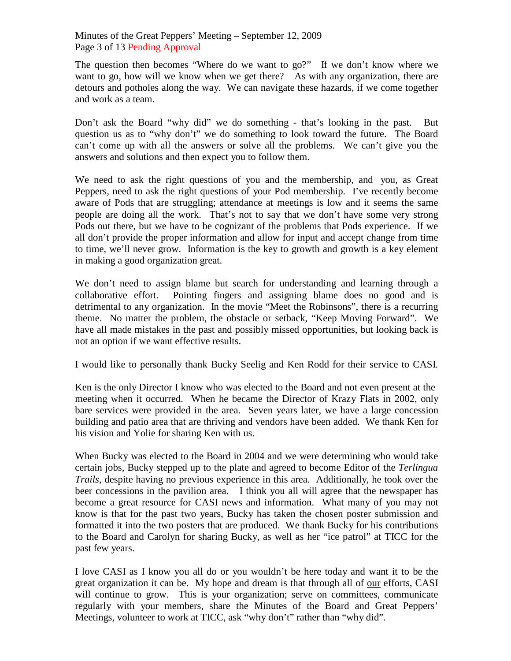Minutes of the Great Peppers' Meeting – September 12, 2009 Page 3 of 13 Pending Approval

The question then becomes "Where do we want to go?" If we don't know where we want to go, how will we know when we get there? As with any organization, there are detours and potholes along the way. We can navigate these hazards, if we come together and work as a team.

Don't ask the Board "why did" we do something - that's looking in the past. But question us as to "why don't" we do something to look toward the future. The Board can't come up with all the answers or solve all the problems. We can't give you the answers and solutions and then expect you to follow them.

We need to ask the right questions of you and the membership, and you, as Great Peppers, need to ask the right questions of your Pod membership. I've recently become aware of Pods that are struggling; attendance at meetings is low and it seems the same people are doing all the work. That's not to say that we don't have some very strong Pods out there, but we have to be cognizant of the problems that Pods experience. If we all don't provide the proper information and allow for input and accept change from time to time, we'll never grow. Information is the key to growth and growth is a key element in making a good organization great.

We don't need to assign blame but search for understanding and learning through a collaborative effort. Pointing fingers and assigning blame does no good and is detrimental to any organization. In the movie "Meet the Robinsons", there is a recurring theme. No matter the problem, the obstacle or setback, "Keep Moving Forward". We have all made mistakes in the past and possibly missed opportunities, but looking back is not an option if we want effective results.

I would like to personally thank Bucky Seelig and Ken Rodd for their service to CASI.

Ken is the only Director I know who was elected to the Board and not even present at the meeting when it occurred. When he became the Director of Krazy Flats in 2002, only bare services were provided in the area. Seven years later, we have a large concession building and patio area that are thriving and vendors have been added. We thank Ken for his vision and Yolie for sharing Ken with us.

When Bucky was elected to the Board in 2004 and we were determining who would take certain jobs, Bucky stepped up to the plate and agreed to become Editor of the *Terlingua Trails*, despite having no previous experience in this area. Additionally, he took over the beer concessions in the pavilion area. I think you all will agree that the newspaper has become a great resource for CASI news and information. What many of you may not know is that for the past two years, Bucky has taken the chosen poster submission and formatted it into the two posters that are produced. We thank Bucky for his contributions to the Board and Carolyn for sharing Bucky, as well as her "ice patrol" at TICC for the past few years.

I love CASI as I know you all do or you wouldn't be here today and want it to be the great organization it can be. My hope and dream is that through all of our efforts, CASI will continue to grow. This is your organization; serve on committees, communicate regularly with your members, share the Minutes of the Board and Great Peppers' Meetings, volunteer to work at TICC, ask "why don't" rather than "why did".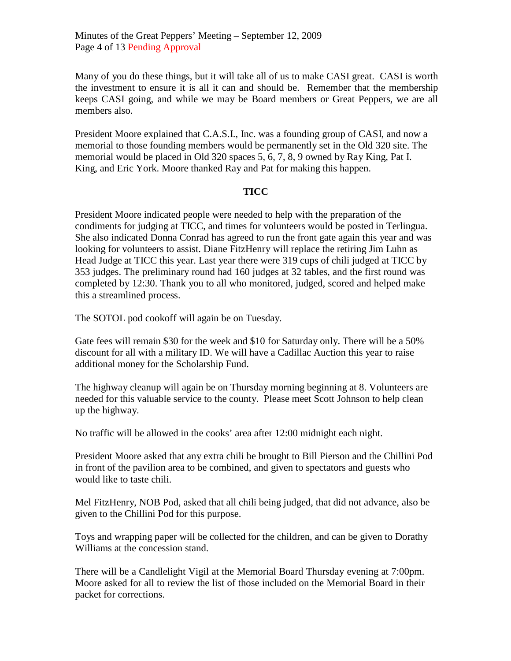Minutes of the Great Peppers' Meeting – September 12, 2009 Page 4 of 13 Pending Approval

Many of you do these things, but it will take all of us to make CASI great. CASI is worth the investment to ensure it is all it can and should be. Remember that the membership keeps CASI going, and while we may be Board members or Great Peppers, we are all members also.

President Moore explained that C.A.S.I., Inc. was a founding group of CASI, and now a memorial to those founding members would be permanently set in the Old 320 site. The memorial would be placed in Old 320 spaces 5, 6, 7, 8, 9 owned by Ray King, Pat I. King, and Eric York. Moore thanked Ray and Pat for making this happen.

### **TICC**

President Moore indicated people were needed to help with the preparation of the condiments for judging at TICC, and times for volunteers would be posted in Terlingua. She also indicated Donna Conrad has agreed to run the front gate again this year and was looking for volunteers to assist. Diane FitzHenry will replace the retiring Jim Luhn as Head Judge at TICC this year. Last year there were 319 cups of chili judged at TICC by 353 judges. The preliminary round had 160 judges at 32 tables, and the first round was completed by 12:30. Thank you to all who monitored, judged, scored and helped make this a streamlined process.

The SOTOL pod cookoff will again be on Tuesday.

Gate fees will remain \$30 for the week and \$10 for Saturday only. There will be a 50% discount for all with a military ID. We will have a Cadillac Auction this year to raise additional money for the Scholarship Fund.

The highway cleanup will again be on Thursday morning beginning at 8. Volunteers are needed for this valuable service to the county. Please meet Scott Johnson to help clean up the highway.

No traffic will be allowed in the cooks' area after 12:00 midnight each night.

President Moore asked that any extra chili be brought to Bill Pierson and the Chillini Pod in front of the pavilion area to be combined, and given to spectators and guests who would like to taste chili.

Mel FitzHenry, NOB Pod, asked that all chili being judged, that did not advance, also be given to the Chillini Pod for this purpose.

Toys and wrapping paper will be collected for the children, and can be given to Dorathy Williams at the concession stand.

There will be a Candlelight Vigil at the Memorial Board Thursday evening at 7:00pm. Moore asked for all to review the list of those included on the Memorial Board in their packet for corrections.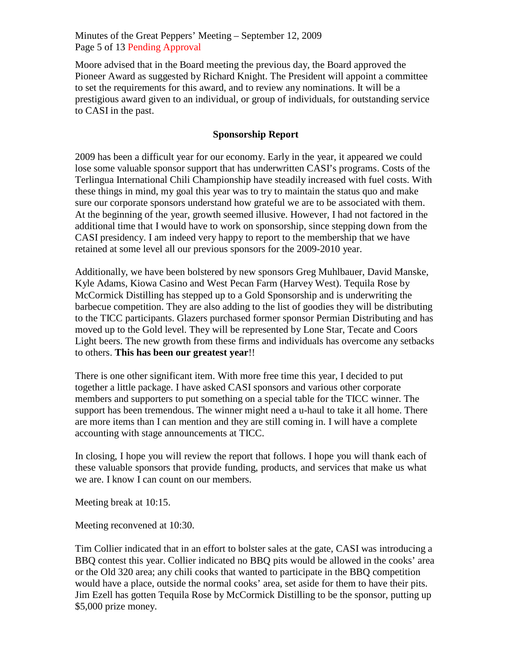Minutes of the Great Peppers' Meeting – September 12, 2009 Page 5 of 13 Pending Approval

Moore advised that in the Board meeting the previous day, the Board approved the Pioneer Award as suggested by Richard Knight. The President will appoint a committee to set the requirements for this award, and to review any nominations. It will be a prestigious award given to an individual, or group of individuals, for outstanding service to CASI in the past.

## **Sponsorship Report**

2009 has been a difficult year for our economy. Early in the year, it appeared we could lose some valuable sponsor support that has underwritten CASI's programs. Costs of the Terlingua International Chili Championship have steadily increased with fuel costs. With these things in mind, my goal this year was to try to maintain the status quo and make sure our corporate sponsors understand how grateful we are to be associated with them. At the beginning of the year, growth seemed illusive. However, I had not factored in the additional time that I would have to work on sponsorship, since stepping down from the CASI presidency. I am indeed very happy to report to the membership that we have retained at some level all our previous sponsors for the 2009-2010 year.

Additionally, we have been bolstered by new sponsors Greg Muhlbauer, David Manske, Kyle Adams, Kiowa Casino and West Pecan Farm (Harvey West). Tequila Rose by McCormick Distilling has stepped up to a Gold Sponsorship and is underwriting the barbecue competition. They are also adding to the list of goodies they will be distributing to the TICC participants. Glazers purchased former sponsor Permian Distributing and has moved up to the Gold level. They will be represented by Lone Star, Tecate and Coors Light beers. The new growth from these firms and individuals has overcome any setbacks to others. **This has been our greatest year**!!

There is one other significant item. With more free time this year, I decided to put together a little package. I have asked CASI sponsors and various other corporate members and supporters to put something on a special table for the TICC winner. The support has been tremendous. The winner might need a u-haul to take it all home. There are more items than I can mention and they are still coming in. I will have a complete accounting with stage announcements at TICC.

In closing, I hope you will review the report that follows. I hope you will thank each of these valuable sponsors that provide funding, products, and services that make us what we are. I know I can count on our members.

Meeting break at 10:15.

Meeting reconvened at 10:30.

Tim Collier indicated that in an effort to bolster sales at the gate, CASI was introducing a BBQ contest this year. Collier indicated no BBQ pits would be allowed in the cooks' area or the Old 320 area; any chili cooks that wanted to participate in the BBQ competition would have a place, outside the normal cooks' area, set aside for them to have their pits. Jim Ezell has gotten Tequila Rose by McCormick Distilling to be the sponsor, putting up \$5,000 prize money.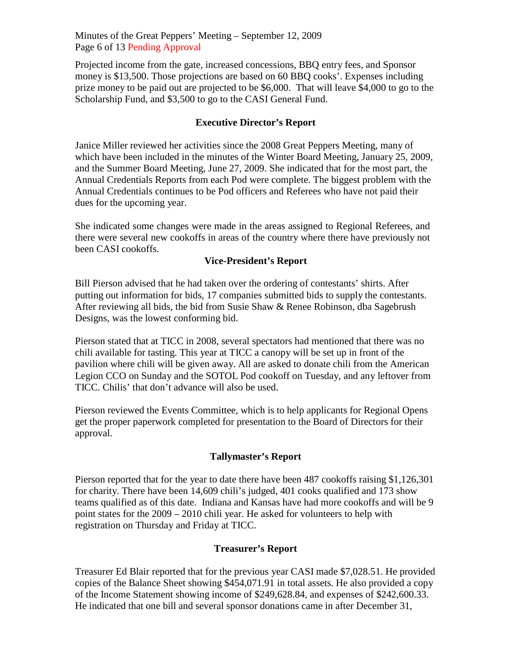Minutes of the Great Peppers' Meeting – September 12, 2009 Page 6 of 13 Pending Approval

Projected income from the gate, increased concessions, BBQ entry fees, and Sponsor money is \$13,500. Those projections are based on 60 BBQ cooks'. Expenses including prize money to be paid out are projected to be \$6,000. That will leave \$4,000 to go to the Scholarship Fund, and \$3,500 to go to the CASI General Fund.

## **Executive Director's Report**

Janice Miller reviewed her activities since the 2008 Great Peppers Meeting, many of which have been included in the minutes of the Winter Board Meeting, January 25, 2009, and the Summer Board Meeting, June 27, 2009. She indicated that for the most part, the Annual Credentials Reports from each Pod were complete. The biggest problem with the Annual Credentials continues to be Pod officers and Referees who have not paid their dues for the upcoming year.

She indicated some changes were made in the areas assigned to Regional Referees, and there were several new cookoffs in areas of the country where there have previously not been CASI cookoffs.

## **Vice-President's Report**

Bill Pierson advised that he had taken over the ordering of contestants' shirts. After putting out information for bids, 17 companies submitted bids to supply the contestants. After reviewing all bids, the bid from Susie Shaw & Renee Robinson, dba Sagebrush Designs, was the lowest conforming bid.

Pierson stated that at TICC in 2008, several spectators had mentioned that there was no chili available for tasting. This year at TICC a canopy will be set up in front of the pavilion where chili will be given away. All are asked to donate chili from the American Legion CCO on Sunday and the SOTOL Pod cookoff on Tuesday, and any leftover from TICC. Chilis' that don't advance will also be used.

Pierson reviewed the Events Committee, which is to help applicants for Regional Opens get the proper paperwork completed for presentation to the Board of Directors for their approval.

### **Tallymaster's Report**

Pierson reported that for the year to date there have been 487 cookoffs raising \$1,126,301 for charity. There have been 14,609 chili's judged, 401 cooks qualified and 173 show teams qualified as of this date. Indiana and Kansas have had more cookoffs and will be 9 point states for the 2009 – 2010 chili year. He asked for volunteers to help with registration on Thursday and Friday at TICC.

### **Treasurer's Report**

Treasurer Ed Blair reported that for the previous year CASI made \$7,028.51. He provided copies of the Balance Sheet showing \$454,071.91 in total assets. He also provided a copy of the Income Statement showing income of \$249,628.84, and expenses of \$242,600.33. He indicated that one bill and several sponsor donations came in after December 31,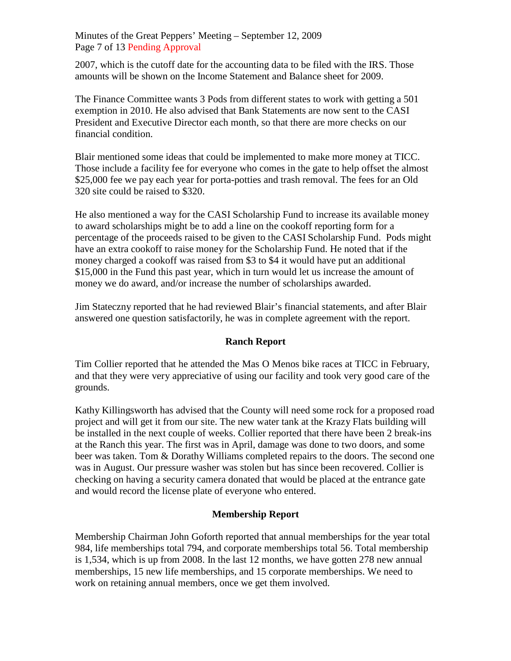Minutes of the Great Peppers' Meeting – September 12, 2009 Page 7 of 13 Pending Approval

2007, which is the cutoff date for the accounting data to be filed with the IRS. Those amounts will be shown on the Income Statement and Balance sheet for 2009.

The Finance Committee wants 3 Pods from different states to work with getting a 501 exemption in 2010. He also advised that Bank Statements are now sent to the CASI President and Executive Director each month, so that there are more checks on our financial condition.

Blair mentioned some ideas that could be implemented to make more money at TICC. Those include a facility fee for everyone who comes in the gate to help offset the almost \$25,000 fee we pay each year for porta-potties and trash removal. The fees for an Old 320 site could be raised to \$320.

He also mentioned a way for the CASI Scholarship Fund to increase its available money to award scholarships might be to add a line on the cookoff reporting form for a percentage of the proceeds raised to be given to the CASI Scholarship Fund. Pods might have an extra cookoff to raise money for the Scholarship Fund. He noted that if the money charged a cookoff was raised from \$3 to \$4 it would have put an additional \$15,000 in the Fund this past year, which in turn would let us increase the amount of money we do award, and/or increase the number of scholarships awarded.

Jim Stateczny reported that he had reviewed Blair's financial statements, and after Blair answered one question satisfactorily, he was in complete agreement with the report.

# **Ranch Report**

Tim Collier reported that he attended the Mas O Menos bike races at TICC in February, and that they were very appreciative of using our facility and took very good care of the grounds.

Kathy Killingsworth has advised that the County will need some rock for a proposed road project and will get it from our site. The new water tank at the Krazy Flats building will be installed in the next couple of weeks. Collier reported that there have been 2 break-ins at the Ranch this year. The first was in April, damage was done to two doors, and some beer was taken. Tom & Dorathy Williams completed repairs to the doors. The second one was in August. Our pressure washer was stolen but has since been recovered. Collier is checking on having a security camera donated that would be placed at the entrance gate and would record the license plate of everyone who entered.

# **Membership Report**

Membership Chairman John Goforth reported that annual memberships for the year total 984, life memberships total 794, and corporate memberships total 56. Total membership is 1,534, which is up from 2008. In the last 12 months, we have gotten 278 new annual memberships, 15 new life memberships, and 15 corporate memberships. We need to work on retaining annual members, once we get them involved.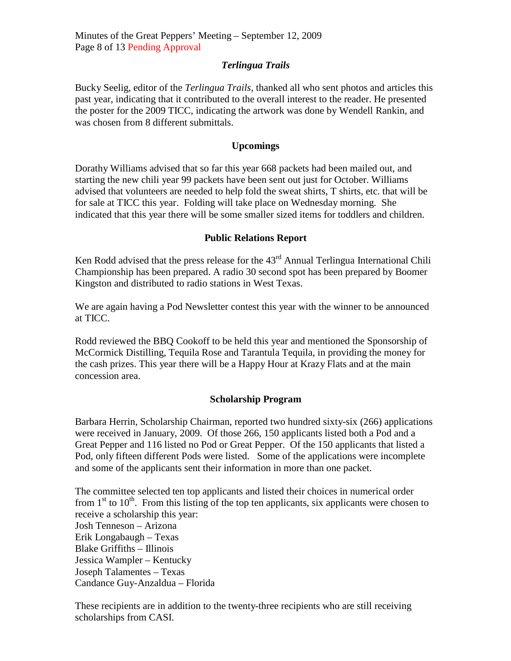## *Terlingua Trails*

Bucky Seelig, editor of the *Terlingua Trails*, thanked all who sent photos and articles this past year, indicating that it contributed to the overall interest to the reader. He presented the poster for the 2009 TICC, indicating the artwork was done by Wendell Rankin, and was chosen from 8 different submittals.

## **Upcomings**

Dorathy Williams advised that so far this year 668 packets had been mailed out, and starting the new chili year 99 packets have been sent out just for October. Williams advised that volunteers are needed to help fold the sweat shirts, T shirts, etc. that will be for sale at TICC this year. Folding will take place on Wednesday morning. She indicated that this year there will be some smaller sized items for toddlers and children.

## **Public Relations Report**

Ken Rodd advised that the press release for the  $43<sup>rd</sup>$  Annual Terlingua International Chili Championship has been prepared. A radio 30 second spot has been prepared by Boomer Kingston and distributed to radio stations in West Texas.

We are again having a Pod Newsletter contest this year with the winner to be announced at TICC.

Rodd reviewed the BBQ Cookoff to be held this year and mentioned the Sponsorship of McCormick Distilling, Tequila Rose and Tarantula Tequila, in providing the money for the cash prizes. This year there will be a Happy Hour at Krazy Flats and at the main concession area.

# **Scholarship Program**

Barbara Herrin, Scholarship Chairman, reported two hundred sixty-six (266) applications were received in January, 2009. Of those 266, 150 applicants listed both a Pod and a Great Pepper and 116 listed no Pod or Great Pepper. Of the 150 applicants that listed a Pod, only fifteen different Pods were listed. Some of the applications were incomplete and some of the applicants sent their information in more than one packet.

The committee selected ten top applicants and listed their choices in numerical order from  $1<sup>st</sup>$  to  $10<sup>th</sup>$ . From this listing of the top ten applicants, six applicants were chosen to receive a scholarship this year: Josh Tenneson – Arizona Erik Longabaugh – Texas Blake Griffiths – Illinois Jessica Wampler – Kentucky Joseph Talamentes – Texas Candance Guy-Anzaldua – Florida

These recipients are in addition to the twenty-three recipients who are still receiving scholarships from CASI.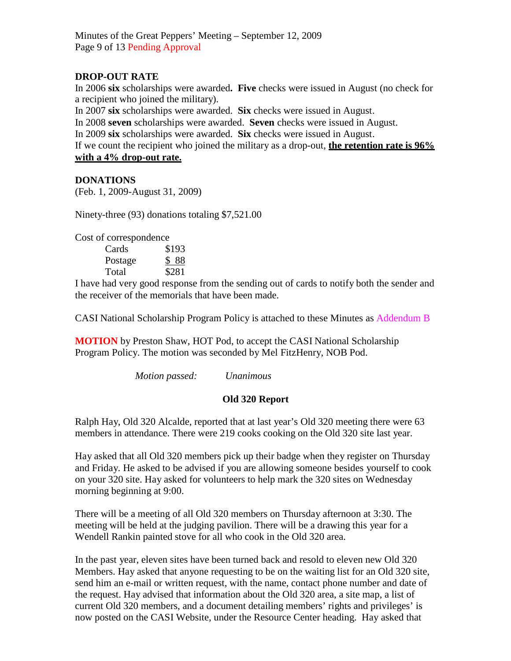Minutes of the Great Peppers' Meeting – September 12, 2009 Page 9 of 13 Pending Approval

# **DROP-OUT RATE**

In 2006 **six** scholarships were awarded**. Five** checks were issued in August (no check for a recipient who joined the military).

In 2007 **six** scholarships were awarded. **Six** checks were issued in August.

In 2008 **seven** scholarships were awarded. **Seven** checks were issued in August.

In 2009 **six** scholarships were awarded. **Six** checks were issued in August.

If we count the recipient who joined the military as a drop-out, **the retention rate is 96%**

**with a 4% drop-out rate.**

## **DONATIONS**

(Feb. 1, 2009-August 31, 2009)

Ninety-three (93) donations totaling \$7,521.00

Cost of correspondence

| Cards   | \$193 |
|---------|-------|
| Postage | \$88  |
| Total   | \$281 |

I have had very good response from the sending out of cards to notify both the sender and the receiver of the memorials that have been made.

CASI National Scholarship Program Policy is attached to these Minutes as Addendum B

**MOTION** by Preston Shaw, HOT Pod, to accept the CASI National Scholarship Program Policy. The motion was seconded by Mel FitzHenry, NOB Pod.

*Motion passed: Unanimous*

# **Old 320 Report**

Ralph Hay, Old 320 Alcalde, reported that at last year's Old 320 meeting there were 63 members in attendance. There were 219 cooks cooking on the Old 320 site last year.

Hay asked that all Old 320 members pick up their badge when they register on Thursday and Friday. He asked to be advised if you are allowing someone besides yourself to cook on your 320 site. Hay asked for volunteers to help mark the 320 sites on Wednesday morning beginning at 9:00.

There will be a meeting of all Old 320 members on Thursday afternoon at 3:30. The meeting will be held at the judging pavilion. There will be a drawing this year for a Wendell Rankin painted stove for all who cook in the Old 320 area.

In the past year, eleven sites have been turned back and resold to eleven new Old 320 Members. Hay asked that anyone requesting to be on the waiting list for an Old 320 site, send him an e-mail or written request, with the name, contact phone number and date of the request. Hay advised that information about the Old 320 area, a site map, a list of current Old 320 members, and a document detailing members' rights and privileges' is now posted on the CASI Website, under the Resource Center heading. Hay asked that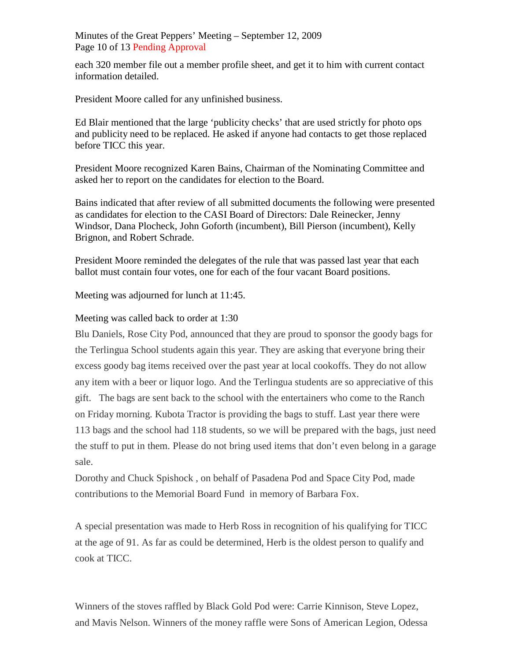Minutes of the Great Peppers' Meeting – September 12, 2009 Page 10 of 13 Pending Approval

each 320 member file out a member profile sheet, and get it to him with current contact information detailed.

President Moore called for any unfinished business.

Ed Blair mentioned that the large 'publicity checks' that are used strictly for photo ops and publicity need to be replaced. He asked if anyone had contacts to get those replaced before TICC this year.

President Moore recognized Karen Bains, Chairman of the Nominating Committee and asked her to report on the candidates for election to the Board.

Bains indicated that after review of all submitted documents the following were presented as candidates for election to the CASI Board of Directors: Dale Reinecker, Jenny Windsor, Dana Plocheck, John Goforth (incumbent), Bill Pierson (incumbent), Kelly Brignon, and Robert Schrade.

President Moore reminded the delegates of the rule that was passed last year that each ballot must contain four votes, one for each of the four vacant Board positions.

Meeting was adjourned for lunch at 11:45.

Meeting was called back to order at 1:30

Blu Daniels, Rose City Pod, announced that they are proud to sponsor the goody bags for the Terlingua School students again this year. They are asking that everyone bring their excess goody bag items received over the past year at local cookoffs. They do not allow any item with a beer or liquor logo. And the Terlingua students are so appreciative of this gift. The bags are sent back to the school with the entertainers who come to the Ranch on Friday morning. Kubota Tractor is providing the bags to stuff. Last year there were 113 bags and the school had 118 students, so we will be prepared with the bags, just need the stuff to put in them. Please do not bring used items that don't even belong in a garage sale.

Dorothy and Chuck Spishock , on behalf of Pasadena Pod and Space City Pod, made contributions to the Memorial Board Fund in memory of Barbara Fox.

A special presentation was made to Herb Ross in recognition of his qualifying for TICC at the age of 91. As far as could be determined, Herb is the oldest person to qualify and cook at TICC.

Winners of the stoves raffled by Black Gold Pod were: Carrie Kinnison, Steve Lopez, and Mavis Nelson. Winners of the money raffle were Sons of American Legion, Odessa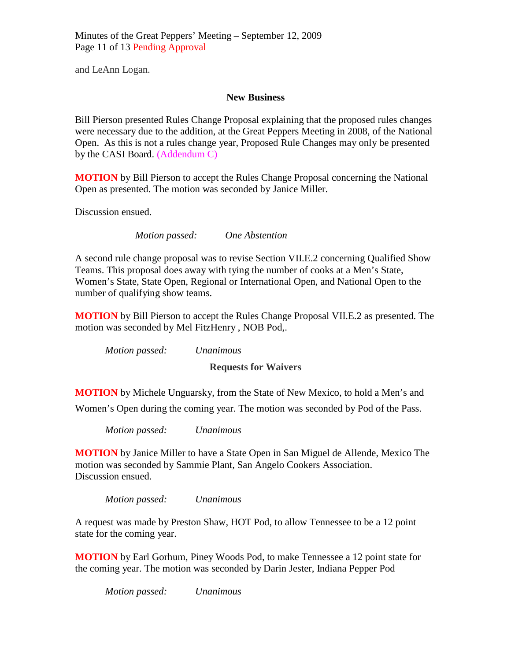Minutes of the Great Peppers' Meeting – September 12, 2009 Page 11 of 13 Pending Approval

and LeAnn Logan.

### **New Business**

Bill Pierson presented Rules Change Proposal explaining that the proposed rules changes were necessary due to the addition, at the Great Peppers Meeting in 2008, of the National Open. As this is not a rules change year, Proposed Rule Changes may only be presented by the CASI Board. (Addendum C)

**MOTION** by Bill Pierson to accept the Rules Change Proposal concerning the National Open as presented. The motion was seconded by Janice Miller.

Discussion ensued.

*Motion passed: One Abstention*

A second rule change proposal was to revise Section VII.E.2 concerning Qualified Show Teams. This proposal does away with tying the number of cooks at a Men's State, Women's State, State Open, Regional or International Open, and National Open to the number of qualifying show teams.

**MOTION** by Bill Pierson to accept the Rules Change Proposal VII.E.2 as presented. The motion was seconded by Mel FitzHenry , NOB Pod,.

*Motion passed: Unanimous*

**Requests for Waivers**

**MOTION** by Michele Unguarsky, from the State of New Mexico, to hold a Men's and Women's Open during the coming year. The motion was seconded by Pod of the Pass.

*Motion passed: Unanimous*

**MOTION** by Janice Miller to have a State Open in San Miguel de Allende, Mexico The motion was seconded by Sammie Plant, San Angelo Cookers Association. Discussion ensued.

*Motion passed: Unanimous*

A request was made by Preston Shaw, HOT Pod, to allow Tennessee to be a 12 point state for the coming year.

**MOTION** by Earl Gorhum, Piney Woods Pod, to make Tennessee a 12 point state for the coming year. The motion was seconded by Darin Jester, Indiana Pepper Pod

*Motion passed: Unanimous*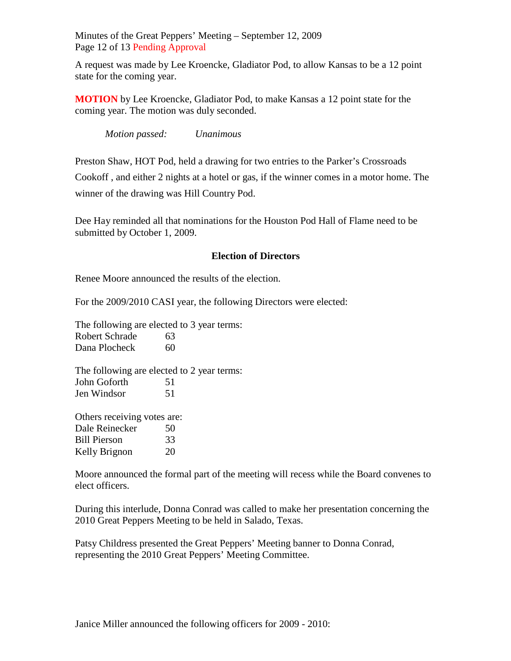Minutes of the Great Peppers' Meeting – September 12, 2009 Page 12 of 13 Pending Approval

A request was made by Lee Kroencke, Gladiator Pod, to allow Kansas to be a 12 point state for the coming year.

**MOTION** by Lee Kroencke, Gladiator Pod, to make Kansas a 12 point state for the coming year. The motion was duly seconded.

*Motion passed: Unanimous*

Preston Shaw, HOT Pod, held a drawing for two entries to the Parker's Crossroads Cookoff , and either 2 nights at a hotel or gas, if the winner comes in a motor home. The winner of the drawing was Hill Country Pod.

Dee Hay reminded all that nominations for the Houston Pod Hall of Flame need to be submitted by October 1, 2009.

# **Election of Directors**

Renee Moore announced the results of the election.

For the 2009/2010 CASI year, the following Directors were elected:

The following are elected to 3 year terms: Robert Schrade 63 Dana Plocheck 60

The following are elected to 2 year terms: John Goforth 51 Jen Windsor 51

Others receiving votes are: Dale Reinecker 50 Bill Pierson 33 Kelly Brignon 20

Moore announced the formal part of the meeting will recess while the Board convenes to elect officers.

During this interlude, Donna Conrad was called to make her presentation concerning the 2010 Great Peppers Meeting to be held in Salado, Texas.

Patsy Childress presented the Great Peppers' Meeting banner to Donna Conrad, representing the 2010 Great Peppers' Meeting Committee.